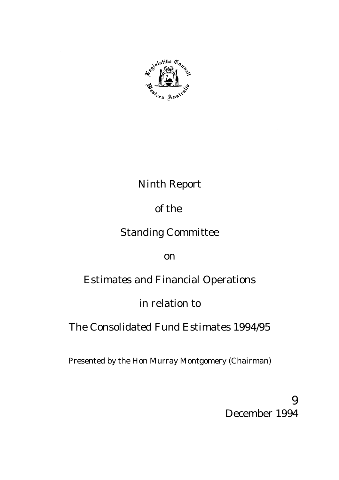

## Ninth Report

## of the

## Standing Committee

on

# Estimates and Financial Operations

## in relation to

# The Consolidated Fund Estimates 1994/95

Presented by the Hon Murray Montgomery (Chairman)

9 December 1994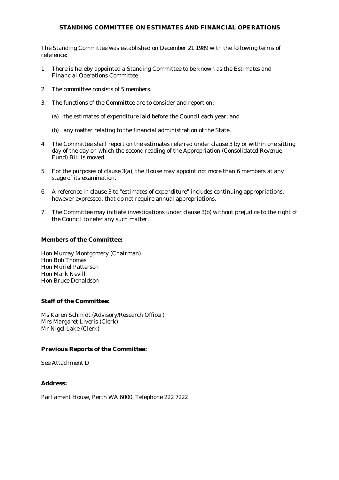#### **STANDING COMMITTEE ON ESTIMATES AND FINANCIAL OPERATIONS**

The Standing Committee was established on December 21 1989 with the following terms of reference:

- 1. There is hereby appointed a Standing Committee to be known as the *Estimates and Financial Operations Committee.*
- 2. The committee consists of 5 members.
- 3. The functions of the Committee are to consider and report on:
	- (a) the estimates of expenditure laid before the Council each year; and
	- (b) any matter relating to the financial administration of the State.
- 4. The Committee shall report on the estimates referred under clause 3 by or within one sitting day of the day on which the second reading of the *Appropriation (Consolidated Revenue Fund) Bill* is moved.
- 5. For the purposes of clause 3(a), the House may appoint not more than 6 members at any stage of its examination.
- 6. A reference in clause 3 to "estimates of expenditure" includes continuing appropriations, however expressed, that do not require annual appropriations.
- 7. The Committee may initiate investigations under clause 3(b) without prejudice to the right of the Council to refer any such matter.

#### **Members of the Committee:**

Hon Murray Montgomery (Chairman) Hon Bob Thomas Hon Muriel Patterson Hon Mark Nevill Hon Bruce Donaldson

#### **Staff of the Committee:**

Ms Karen Schmidt (Advisory/Research Officer) Mrs Margaret Liveris (Clerk) Mr Nigel Lake (Clerk)

#### **Previous Reports of the Committee:**

See Attachment D

#### **Address:**

Parliament House, Perth WA 6000, Telephone 222 7222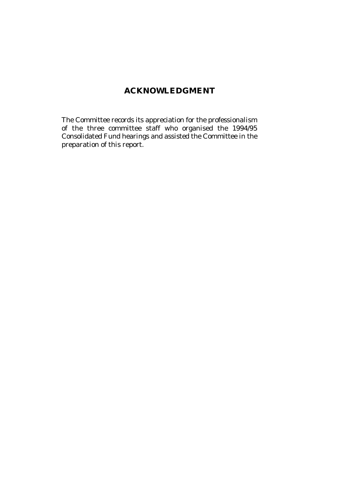## **ACKNOWLEDGMENT**

The Committee records its appreciation for the professionalism of the three committee staff who organised the 1994/95 Consolidated Fund hearings and assisted the Committee in the preparation of this report.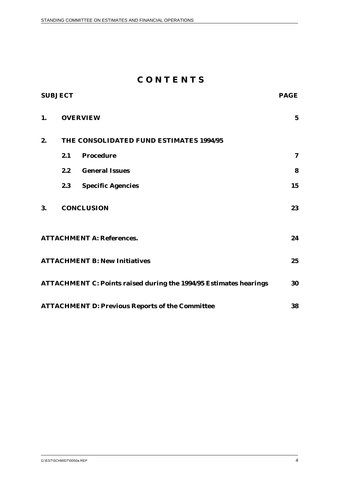## **C O N T E N T S**

| <b>SUBJECT</b> |                                         | <b>PAGE</b>                                                              |             |
|----------------|-----------------------------------------|--------------------------------------------------------------------------|-------------|
| 1.             | <b>OVERVIEW</b>                         |                                                                          | $\mathbf 5$ |
| 2.             | THE CONSOLIDATED FUND ESTIMATES 1994/95 |                                                                          |             |
|                | 2.1                                     | <b>Procedure</b>                                                         | 7           |
|                | 2.2                                     | <b>General Issues</b>                                                    | 8           |
|                | 2.3                                     | <b>Specific Agencies</b>                                                 | 15          |
| 3.             |                                         | <b>CONCLUSION</b>                                                        | 23          |
|                |                                         | <b>ATTACHMENT A: References.</b>                                         | 24          |
|                |                                         | <b>ATTACHMENT B: New Initiatives</b>                                     | 25          |
|                |                                         | <b>ATTACHMENT C: Points raised during the 1994/95 Estimates hearings</b> | 30          |
|                |                                         | <b>ATTACHMENT D: Previous Reports of the Committee</b>                   | 38          |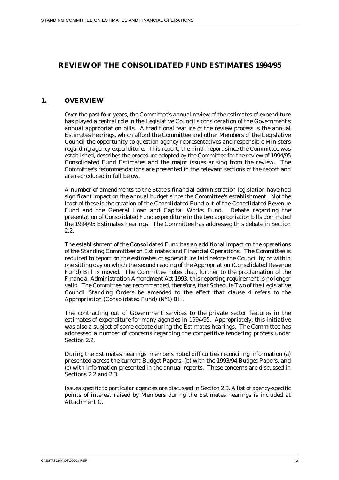## **REVIEW OF THE CONSOLIDATED FUND ESTIMATES 1994/95**

### **1. OVERVIEW**

Over the past four years, the Committee's annual review of the estimates of expenditure has played a central role in the Legislative Council's consideration of the Government's annual appropriation bills. A traditional feature of the review process is the annual Estimates hearings, which afford the Committee and other Members of the Legislative Council the opportunity to question agency representatives and responsible Ministers regarding agency expenditure. This report, the ninth report since the Committee was established, describes the procedure adopted by the Committee for the review of 1994/95 Consolidated Fund Estimates and the major issues arising from the review. The Committee's recommendations are presented in the relevant sections of the report and are reproduced in full below.

A number of amendments to the State's financial administration legislation have had significant impact on the annual budget since the Committee's establishment. Not the least of these is the creation of the Consolidated Fund out of the Consolidated Revenue Fund and the General Loan and Capital Works Fund. Debate regarding the presentation of Consolidated Fund expenditure in the two appropriation bills dominated the 1994/95 Estimates hearings. The Committee has addressed this debate in Section 2.2.

The establishment of the Consolidated Fund has an additional impact on the operations of the Standing Committee on Estimates and Financial Operations. The Committee is required to report on the estimates of expenditure laid before the Council by or within one sitting day on which the second reading of the Appropriation (Consolidated Revenue Fund) Bill is moved. The Committee notes that, further to the proclamation of the Financial Administration Amendment Act 1993, this reporting requirement is no longer valid. The Committee has recommended, therefore, that Schedule Two of the Legislative Council Standing Orders be amended to the effect that clause 4 refers to the Appropriation (Consolidated Fund)  $(N<sup>o</sup>1)$  Bill.

The contracting out of Government services to the private sector features in the estimates of expenditure for many agencies in 1994/95. Appropriately, this initiative was also a subject of some debate during the Estimates hearings. The Committee has addressed a number of concerns regarding the competitive tendering process under Section 2.2.

During the Estimates hearings, members noted difficulties reconciling information (a) presented across the current Budget Papers, (b) with the 1993/94 Budget Papers, and (c) with information presented in the annual reports. These concerns are discussed in Sections 2.2 and 2.3.

Issues specific to particular agencies are discussed in Section 2.3. A list of agency-specific points of interest raised by Members during the Estimates hearings is included at Attachment C.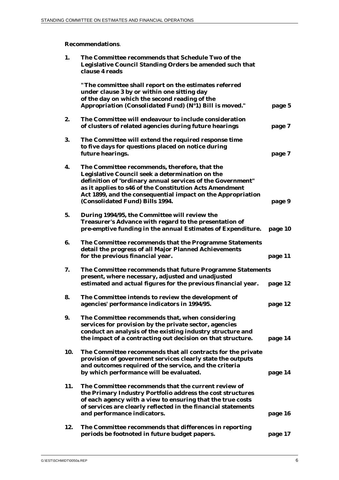## **Recommendations**.

| 1.  | The Committee recommends that Schedule Two of the<br>Legislative Council Standing Orders be amended such that<br>clause 4 reads                                                                                  |         |
|-----|------------------------------------------------------------------------------------------------------------------------------------------------------------------------------------------------------------------|---------|
|     | "The committee shall report on the estimates referred<br>under clause 3 by or within one sitting day<br>of the day on which the second reading of the<br>Appropriation (Consolidated Fund) (Nº1) Bill is moved." | page 5  |
| 2.  | The Committee will endeavour to include consideration                                                                                                                                                            |         |
|     | of clusters of related agencies during future hearings                                                                                                                                                           | page 7  |
| 3.  | The Committee will extend the required response time<br>to five days for questions placed on notice during                                                                                                       |         |
|     | future hearings.                                                                                                                                                                                                 | page 7  |
| 4.  | The Committee recommends, therefore, that the<br>Legislative Council seek a determination on the                                                                                                                 |         |
|     | definition of "ordinary annual services of the Government"                                                                                                                                                       |         |
|     | as it applies to s46 of the Constitution Acts Amendment                                                                                                                                                          |         |
|     | Act 1899, and the consequential impact on the Appropriation<br>(Consolidated Fund) Bills 1994.                                                                                                                   | page 9  |
| 5.  | During 1994/95, the Committee will review the                                                                                                                                                                    |         |
|     | Treasurer's Advance with regard to the presentation of                                                                                                                                                           |         |
|     | pre-emptive funding in the annual Estimates of Expenditure.                                                                                                                                                      | page 10 |
| 6.  | The Committee recommends that the Programme Statements<br>detail the progress of all Major Planned Achievements                                                                                                  |         |
|     | for the previous financial year.                                                                                                                                                                                 | page 11 |
| 7.  | The Committee recommends that future Programme Statements                                                                                                                                                        |         |
|     | present, where necessary, adjusted and unadjusted                                                                                                                                                                |         |
|     | estimated and actual figures for the previous financial year.                                                                                                                                                    | page 12 |
| 8.  | The Committee intends to review the development of                                                                                                                                                               |         |
|     | agencies' performance indicators in 1994/95.                                                                                                                                                                     | page 12 |
| 9.  | The Committee recommends that, when considering                                                                                                                                                                  |         |
|     | services for provision by the private sector, agencies<br>conduct an analysis of the existing industry structure and                                                                                             |         |
|     | the impact of a contracting out decision on that structure.                                                                                                                                                      | page 14 |
| 10. | The Committee recommends that all contracts for the private                                                                                                                                                      |         |
|     | provision of government services clearly state the outputs<br>and outcomes required of the service, and the criteria                                                                                             |         |
|     | by which performance will be evaluated.                                                                                                                                                                          | page 14 |
| 11. | The Committee recommends that the current review of                                                                                                                                                              |         |
|     | the Primary Industry Portfolio address the cost structures                                                                                                                                                       |         |
|     | of each agency with a view to ensuring that the true costs<br>of services are clearly reflected in the financial statements                                                                                      |         |
|     | and performance indicators.                                                                                                                                                                                      | page 16 |
| 12. | The Committee recommends that differences in reporting                                                                                                                                                           |         |
|     | periods be footnoted in future budget papers.                                                                                                                                                                    | page 17 |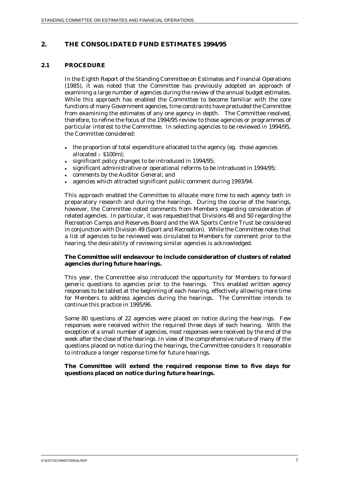## **2. THE CONSOLIDATED FUND ESTIMATES 1994/95**

#### **2.1 PROCEDURE**

In the Eighth Report of the Standing Committee on Estimates and Financial Operations (1985), it was noted that the Committee has previously adopted an approach of examining a large number of agencies during the review of the annual budget estimates. While this approach has enabled the Committee to become familiar with the core functions of many Government agencies, time constraints have precluded the Committee from examining the estimates of any one agency in depth. The Committee resolved, therefore, to refine the focus of the 1994/95 review to those agencies or programmes of particular interest to the Committee. In selecting agencies to be reviewed in 1994/95, the Committee considered:

- the proportion of total expenditure allocated to the agency (*eg.* those agencies allocated  $\ge$  \$100m);
- $\bullet$ significant policy changes to be introduced in 1994/95;
- $\bullet$ significant administrative or operational reforms to be introduced in 1994/95;
- $\bullet$ comments by the Auditor General; and
- $\bullet$ agencies which attracted significant public comment during 1993/94.

This approach enabled the Committee to allocate more time to each agency both in preparatory research and during the hearings. During the course of the hearings, however, the Committee noted comments from Members regarding consideration of related agencies. In particular, it was requested that Divisions 48 and 50 regarding the Recreation Camps and Reserves Board and the WA Sports Centre Trust be considered in conjunction with Division 49 (Sport and Recreation). While the Committee notes that a list of agencies to be reviewed was circulated to Members for comment prior to the hearing, the desirability of reviewing similar agencies is acknowledged.

#### **The Committee will endeavour to include consideration of clusters of related agencies during future hearings.**

This year, the Committee also introduced the opportunity for Members to forward generic questions to agencies prior to the hearings. This enabled written agency responses to be tabled at the beginning of each hearing, effectively allowing more time for Members to address agencies during the hearings. The Committee intends to continue this practice in 1995/96.

Some 80 questions of 22 agencies were placed on notice during the hearings. Few responses were received within the required three days of each hearing. With the exception of a small number of agencies, most responses were received by the end of the week after the close of the hearings. In view of the comprehensive nature of many of the questions placed on notice during the hearings, the Committee considers it reasonable to introduce a longer response time for future hearings.

#### **The Committee will extend the required response time to five days for questions placed on notice during future hearings.**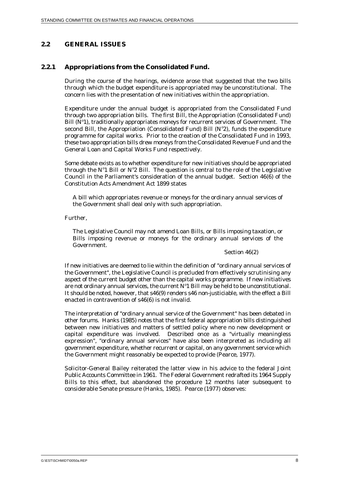## **2.2 GENERAL ISSUES**

## **2.2.1 Appropriations from the Consolidated Fund.**

During the course of the hearings, evidence arose that suggested that the two bills through which the budget expenditure is appropriated may be unconstitutional. The concern lies with the presentation of new initiatives within the appropriation.

Expenditure under the annual budget is appropriated from the Consolidated Fund through two appropriation bills. The first Bill, the Appropriation (Consolidated Fund) Bill  $(N<sup>o</sup>1)$ , traditionally appropriates moneys for recurrent services of Government. The second Bill, the Appropriation (Consolidated Fund) Bill  $(N^{\circ}2)$ , funds the expenditure programme for capital works. Prior to the creation of the Consolidated Fund in 1993, these two appropriation bills drew moneys from the Consolidated Revenue Fund and the General Loan and Capital Works Fund respectively.

Some debate exists as to whether expenditure for new initiatives should be appropriated through the  $N^{\circ}1$  Bill or  $N^{\circ}2$  Bill. The question is central to the role of the Legislative Council in the Parliament's consideration of the annual budget. Section 46(6) of the Constitution Acts Amendment Act 1899 states

A bill which appropriates revenue or moneys for the ordinary annual services of the Government shall deal only with such appropriation.

Further,

The Legislative Council may not amend Loan Bills, or Bills imposing taxation, or Bills imposing revenue or moneys for the ordinary annual services of the Government.

#### Section 46(2)

If new initiatives are deemed to lie within the definition of "ordinary annual services of the Government", the Legislative Council is precluded from effectively scrutinising any aspect of the current budget other than the capital works programme. If new initiatives are not ordinary annual services, the current  $N^{\circ}1$  Bill may be held to be unconstitutional. It should be noted, however, that s46(9) renders s46 non-justiciable, with the effect a Bill enacted in contravention of s46(6) is not invalid.

The interpretation of "ordinary annual service of the Government" has been debated in other forums. Hanks (1985) notes that the first federal appropriation bills distinguished between new initiatives and matters of settled policy where no new development or capital expenditure was involved. Described once as a "virtually meaningless expression", "ordinary annual services" have also been interpreted as including all government expenditure, whether recurrent or capital, on any government service which the Government might reasonably be expected to provide (Pearce, 1977).

Solicitor-General Bailey reiterated the latter view in his advice to the federal Joint Public Accounts Committee in 1961. The Federal Government redrafted its 1964 Supply Bills to this effect, but abandoned the procedure 12 months later subsequent to considerable Senate pressure (Hanks, 1985). Pearce (1977) observes: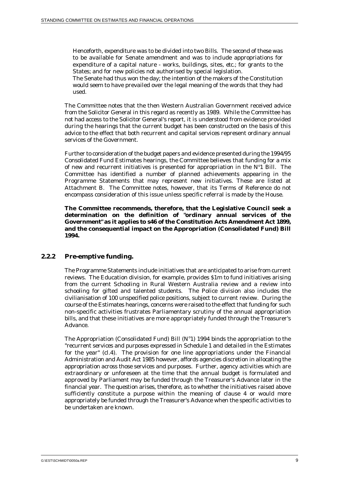Henceforth, expenditure was to be divided into two Bills. The second of these was to be available for Senate amendment and was to include appropriations for expenditure of a capital nature - works, buildings, sites, *etc.*; for grants to the States; and for new policies not authorised by special legislation.

The Senate had thus won the day; the intention of the makers of the Constitution would seem to have prevailed over the legal meaning of the words that they had used.

The Committee notes that the then Western Australian Government received advice from the Solicitor General in this regard as recently as 1989. While the Committee has not had access to the Solicitor General's report, it is understood from evidence provided during the hearings that the current budget has been constructed on the basis of this advice to the effect that both recurrent and capital services represent ordinary annual services of the Government.

Further to consideration of the budget papers and evidence presented during the 1994/95 Consolidated Fund Estimates hearings, the Committee believes that funding for a mix of new and recurrent initiatives is presented for appropriation in the  $N^{\circ}1$  Bill. The Committee has identified a number of planned achievements appearing in the Programme Statements that may represent new initiatives. These are listed at Attachment B. The Committee notes, however, that its Terms of Reference do not encompass consideration of this issue unless specific referral is made by the House.

**The Committee recommends, therefore, that the Legislative Council seek a determination on the definition of "ordinary annual services of the Government" as it applies to s46 of the Constitution Acts Amendment Act 1899, and the consequential impact on the Appropriation (Consolidated Fund) Bill 1994.**

#### **2.2.2 Pre-emptive funding.**

The Programme Statements include initiatives that are anticipated to arise from current reviews. The Education division, for example, provides \$1m to fund initiatives arising from the current Schooling in Rural Western Australia review and a review into schooling for gifted and talented students. The Police division also includes the civilianisation of 100 unspecified police positions, subject to current review. During the course of the Estimates hearings, concerns were raised to the effect that funding for such non-specific activities frustrates Parliamentary scrutiny of the annual appropriation bills, and that these initiatives are more appropriately funded through the Treasurer's Advance.

The Appropriation (Consolidated Fund) Bill  $(N^{\circ}1)$  1994 binds the appropriation to the "recurrent services and purposes expressed in Schedule 1 and detailed in the Estimates for the year" (cl.4). The provision for one line appropriations under the Financial Administration and Audit Act 1985 however, affords agencies discretion in allocating the appropriation across those services and purposes. Further, agency activities which are extraordinary or unforeseen at the time that the annual budget is formulated and approved by Parliament may be funded through the Treasurer's Advance later in the financial year. The question arises, therefore, as to whether the initiatives raised above sufficiently constitute a purpose within the meaning of clause 4 or would more appropriately be funded through the Treasurer's Advance when the specific activities to be undertaken are known.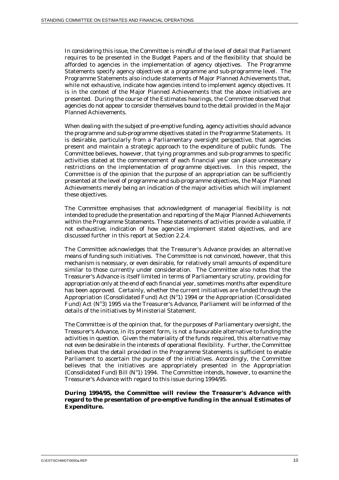In considering this issue, the Committee is mindful of the level of detail that Parliament requires to be presented in the Budget Papers and of the flexibility that should be afforded to agencies in the implementation of agency objectives. The Programme Statements specify agency objectives at a programme and sub-programme level. The Programme Statements also include statements of Major Planned Achievements that, while not exhaustive, indicate how agencies intend to implement agency objectives. It is in the context of the Major Planned Achievements that the above initiatives are presented. During the course of the Estimates hearings, the Committee observed that agencies do not appear to consider themselves bound to the detail provided in the Major Planned Achievements.

When dealing with the subject of pre-emptive funding, agency activities should advance the programme and sub-programme objectives stated in the Programme Statements. It is desirable, particularly from a Parliamentary oversight perspective, that agencies present and maintain a strategic approach to the expenditure of public funds. The Committee believes, however, that tying programmes and sub-programmes to specific activities stated at the commencement of each financial year can place unnecessary restrictions on the implementation of programme objectives. In this respect, the Committee is of the opinion that the purpose of an appropriation can be sufficiently presented at the level of programme and sub-programme objectives, the Major Planned Achievements merely being an indication of the major activities which will implement these objectives.

The Committee emphasises that acknowledgment of managerial flexibility is not intended to preclude the presentation and reporting of the Major Planned Achievements within the Programme Statements. These statements of activities provide a valuable, if not exhaustive, indication of how agencies implement stated objectives, and are discussed further in this report at Section 2.2.4.

The Committee acknowledges that the Treasurer's Advance provides an alternative means of funding such initiatives. The Committee is not convinced, however, that this mechanism is necessary, or even desirable, for relatively small amounts of expenditure similar to those currently under consideration. The Committee also notes that the Treasurer's Advance is itself limited in terms of Parliamentary scrutiny, providing for appropriation only at the end of each financial year, sometimes months after expenditure has been approved. Certainly, whether the current initiatives are funded through the Appropriation (Consolidated Fund) Act ( $N<sup>o</sup>1$ ) 1994 or the Appropriation (Consolidated Fund) Act ( $N°3$ ) 1995 via the Treasurer's Advance, Parliament will be informed of the details of the initiatives by Ministerial Statement.

The Committee is of the opinion that, for the purposes of Parliamentary oversight, the Treasurer's Advance, in its present form, is not a favourable alternative to funding the activities in question. Given the materiality of the funds required, this alternative may not even be desirable in the interests of operational flexibility. Further, the Committee believes that the detail provided in the Programme Statements is sufficient to enable Parliament to ascertain the purpose of the initiatives. Accordingly, the Committee believes that the initiatives are appropriately presented in the Appropriation (Consolidated Fund) Bill ( $N^{\circ}1$ ) 1994. The Committee intends, however, to examine the Treasurer's Advance with regard to this issue during 1994/95.

#### **During 1994/95, the Committee will review the Treasurer's Advance with regard to the presentation of pre-emptive funding in the annual Estimates of Expenditure.**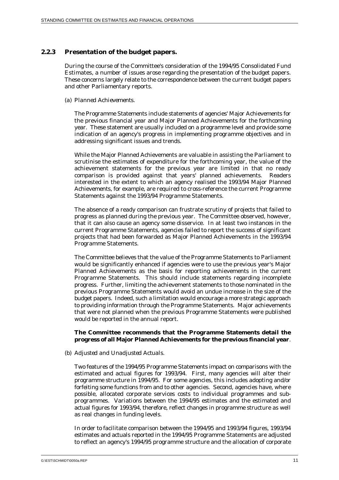## **2.2.3 Presentation of the budget papers.**

During the course of the Committee's consideration of the 1994/95 Consolidated Fund Estimates, a number of issues arose regarding the presentation of the budget papers. These concerns largely relate to the correspondence between the current budget papers and other Parliamentary reports.

#### *(a) Planned Achievements.*

The Programme Statements include statements of agencies' Major Achievements for the previous financial year and Major Planned Achievements for the forthcoming year. These statement are usually included on a programme level and provide some indication of an agency's progress in implementing programme objectives and in addressing significant issues and trends.

While the Major Planned Achievements are valuable in assisting the Parliament to scrutinise the estimates of expenditure for the forthcoming year, the value of the achievement statements for the previous year are limited in that no ready comparison is provided against that years' planned achievements. Readers interested in the extent to which an agency realised the 1993/94 Major Planned Achievements, for example, are required to cross-reference the current Programme Statements against the 1993/94 Programme Statements.

The absence of a ready comparison can frustrate scrutiny of projects that failed to progress as planned during the previous year. The Committee observed, however, that it can also cause an agency some disservice. In at least two instances in the current Programme Statements, agencies failed to report the success of significant projects that had been forwarded as Major Planned Achievements in the 1993/94 Programme Statements.

The Committee believes that the value of the Programme Statements to Parliament would be significantly enhanced if agencies were to use the previous year's Major Planned Achievements as the basis for reporting achievements in the current Programme Statements. This should include statements regarding incomplete progress. Further, limiting the achievement statements to those nominated in the previous Programme Statements would avoid an undue increase in the size of the budget papers. Indeed, such a limitation would encourage a more strategic approach to providing information through the Programme Statements. Major achievements that were not planned when the previous Programme Statements were published would be reported in the annual report.

#### **The Committee recommends that the Programme Statements detail the progress of all Major Planned Achievements for the previous financial year***.*

#### *(b) Adjusted and Unadjusted Actuals.*

Two features of the 1994/95 Programme Statements impact on comparisons with the estimated and actual figures for 1993/94. First, many agencies will alter their programme structure in 1994/95. For some agencies, this includes adopting and/or forfeiting some functions from and to other agencies. Second, agencies have, where possible, allocated corporate services costs to individual programmes and subprogrammes. Variations between the 1994/95 estimates and the estimated and actual figures for 1993/94, therefore, reflect changes in programme structure as well as real changes in funding levels.

In order to facilitate comparison between the 1994/95 and 1993/94 figures, 1993/94 estimates and actuals reported in the 1994/95 Programme Statements are adjusted to reflect an agency's 1994/95 programme structure and the allocation of corporate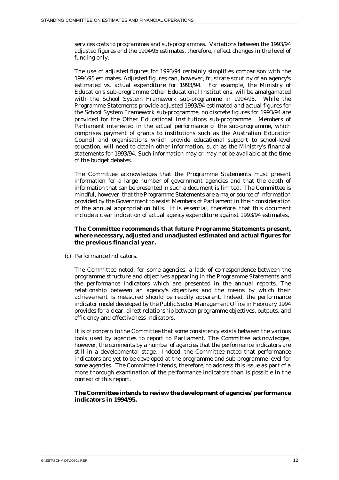services costs to programmes and sub-programmes. Variations between the 1993/94 adjusted figures and the 1994/95 estimates, therefore, reflect changes in the level of funding only.

The use of adjusted figures for 1993/94 certainly simplifies comparison with the 1994/95 estimates. Adjusted figures can, however, frustrate scrutiny of an agency's estimated *vs.* actual expenditure for 1993/94. For example, the Ministry of Education's sub-programme Other Educational Institutions, will be amalgamated with the School System Framework sub-programme in 1994/95. While the Programme Statements provide adjusted 1993/94 estimated and actual figures for the School System Framework sub-programme, no discrete figures for 1993/94 are provided for the Other Educational Institutions sub-programme. Members of Parliament interested in the actual performance of the sub-programme, which comprises payment of grants to institutions such as the Australian Education Council and organisations which provide educational support to school-level education, will need to obtain other information, such as the Ministry's financial statements for 1993/94. Such information may or may not be available at the time of the budget debates.

The Committee acknowledges that the Programme Statements must present information for a large number of government agencies and that the depth of information that can be presented in such a document is limited. The Committee is mindful, however, that the Programme Statements are a major source of information provided by the Government to assist Members of Parliament in their consideration of the annual appropriation bills. It is essential, therefore, that this document include a clear indication of actual agency expenditure against 1993/94 estimates.

#### **The Committee recommends that future Programme Statements present, where necessary, adjusted and unadjusted estimated and actual figures for the previous financial year.**

*(c) Performance Indicators.*

The Committee noted, for some agencies, a lack of correspondence between the programme structure and objectives appearing in the Programme Statements and the performance indicators which are presented in the annual reports. The relationship between an agency's objectives and the means by which their achievement is measured should be readily apparent. Indeed, the performance indicator model developed by the Public Sector Management Office in February 1994 provides for a clear, direct relationship between programme objectives, outputs, and efficiency and effectiveness indicators.

It is of concern to the Committee that some consistency exists between the various tools used by agencies to report to Parliament. The Committee acknowledges, however, the comments by a number of agencies that the performance indicators are still in a developmental stage. Indeed, the Committee noted that performance indicators are yet to be developed at the programme and sub-programme level for some agencies. The Committee intends, therefore, to address this issue as part of a more thorough examination of the performance indicators than is possible in the context of this report.

#### **The Committee intends to review the development of agencies' performance indicators in 1994/95.**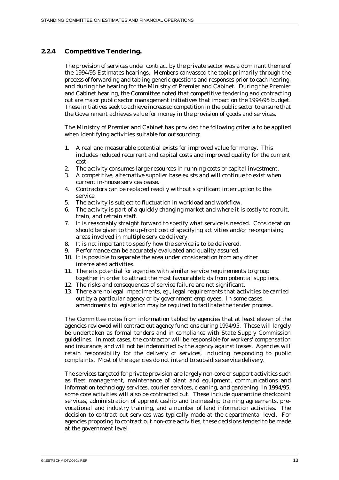## **2.2.4 Competitive Tendering.**

The provision of services under contract by the private sector was a dominant theme of the 1994/95 Estimates hearings. Members canvassed the topic primarily through the process of forwarding and tabling generic questions and responses prior to each hearing, and during the hearing for the Ministry of Premier and Cabinet. During the Premier and Cabinet hearing, the Committee noted that competitive tendering and contracting out are major public sector management initiatives that impact on the 1994/95 budget. These initiatives seek to achieve increased competition in the public sector to ensure that the Government achieves value for money in the provision of goods and services.

The Ministry of Premier and Cabinet has provided the following criteria to be applied when identifying activities suitable for outsourcing:

- 1. A real and measurable potential exists for improved value for money. This includes reduced recurrent and capital costs and improved quality for the current cost.
- 2. The activity consumes large resources in running costs or capital investment.
- 3. A competitive, alternative supplier base exists and will continue to exist when current in-house services cease.
- 4. Contractors can be replaced readily without significant interruption to the service.
- 5. The activity is subject to fluctuation in workload and workflow.
- 6. The activity is part of a quickly changing market and where it is costly to recruit, train, and retrain staff.
- 7. It is reasonably straight forward to specify what service is needed. Consideration should be given to the up-front cost of specifying activities and/or re-organising areas involved in multiple service delivery.
- 8. It is not important to specify how the service is to be delivered.
- 9. Performance can be accurately evaluated and quality assured.
- 10. It is possible to separate the area under consideration from any other interrelated activities.
- 11. There is potential for agencies with similar service requirements to group together in order to attract the most favourable bids from potential suppliers.
- 12. The risks and consequences of service failure are not significant.
- 13. There are no legal impediments, *eg.*, legal requirements that activities be carried out by a particular agency or by government employees. In some cases, amendments to legislation may be required to facilitate the tender process.

The Committee notes from information tabled by agencies that at least eleven of the agencies reviewed will contract out agency functions during 1994/95. These will largely be undertaken as formal tenders and in compliance with State Supply Commission guidelines. In most cases, the contractor will be responsible for workers' compensation and insurance, and will not be indemnified by the agency against losses. Agencies will retain responsibility for the delivery of services, including responding to public complaints. Most of the agencies do not intend to subsidise service delivery.

The services targeted for private provision are largely non-core or support activities such as fleet management, maintenance of plant and equipment, communications and information technology services, courier services, cleaning, and gardening. In 1994/95, some core activities will also be contracted out. These include quarantine checkpoint services, administration of apprenticeship and traineeship training agreements, prevocational and industry training, and a number of land information activities. The decision to contract out services was typically made at the departmental level. For agencies proposing to contract out non-core activities, these decisions tended to be made at the government level.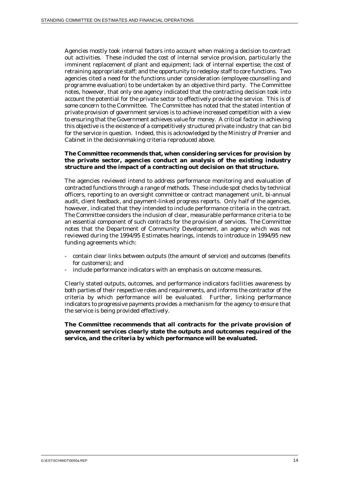Agencies mostly took internal factors into account when making a decision to contract out activities. These included the cost of internal service provision, particularly the imminent replacement of plant and equipment; lack of internal expertise; the cost of retraining appropriate staff; and the opportunity to redeploy staff to core functions. Two agencies cited a need for the functions under consideration (employee counselling and programme evaluation) to be undertaken by an objective third party. The Committee notes, however, that only one agency indicated that the contracting decision took into account the potential for the private sector to effectively provide the service. This is of some concern to the Committee. The Committee has noted that the stated intention of private provision of government services is to achieve increased competition with a view to ensuring that the Government achieves value for money. A critical factor in achieving this objective is the existence of a competitively structured private industry that can bid for the service in question. Indeed, this is acknowledged by the Ministry of Premier and Cabinet in the decisionmaking criteria reproduced above.

#### **The Committee recommends that, when considering services for provision by the private sector, agencies conduct an analysis of the existing industry structure and the impact of a contracting out decision on that structure.**

The agencies reviewed intend to address performance monitoring and evaluation of contracted functions through a range of methods. These include spot checks by technical officers, reporting to an oversight committee or contract management unit, bi-annual audit, client feedback, and payment-linked progress reports. Only half of the agencies, however, indicated that they intended to include performance criteria in the contract. The Committee considers the inclusion of clear, measurable performance criteria to be an essential component of such contracts for the provision of services. The Committee notes that the Department of Community Development, an agency which was not reviewed during the 1994/95 Estimates hearings, intends to introduce in 1994/95 new funding agreements which:

- contain clear links between outputs (the amount of service) and outcomes (benefits for customers); and
- include performance indicators with an emphasis on outcome measures.

Clearly stated outputs, outcomes, and performance indicators facilities awareness by both parties of their respective roles and requirements, and informs the contractor of the criteria by which performance will be evaluated. Further, linking performance indicators to progressive payments provides a mechanism for the agency to ensure that the service is being provided effectively.

**The Committee recommends that all contracts for the private provision of government services clearly state the outputs and outcomes required of the service, and the criteria by which performance will be evaluated.**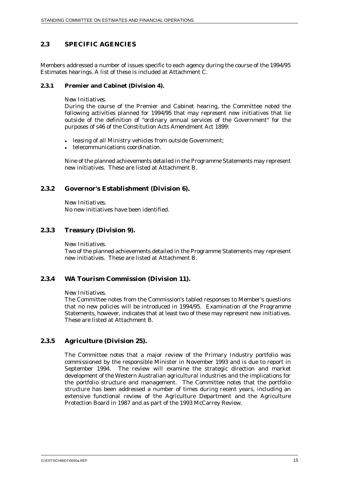## **2.3 SPECIFIC AGENCIES**

Members addressed a number of issues specific to each agency during the course of the 1994/95 Estimates hearings. A list of these is included at Attachment C.

#### **2.3.1 Premier and Cabinet (Division 4).**

#### *New Initiatives.*

During the course of the Premier and Cabinet hearing, the Committee noted the following activities planned for 1994/95 that may represent new initiatives that lie outside of the definition of "ordinary annual services of the Government" for the purposes of s46 of the Constitution Acts Amendment Act 1899:

- leasing of all Ministry vehicles from outside Government;
- telecommunications coordination.

Nine of the planned achievements detailed in the Programme Statements may represent new initiatives. These are listed at Attachment B.

## **2.3.2 Governor's Establishment (Division 6).**

*New Initiatives.* No new initiatives have been identified.

## **2.3.3 Treasury (Division 9).**

#### *New Initiatives.*

Two of the planned achievements detailed in the Programme Statements may represent new initiatives. These are listed at Attachment B.

#### **2.3.4 WA Tourism Commission (Division 11).**

#### *New Initiatives.*

The Committee notes from the Commission's tabled responses to Member's questions that no new policies will be introduced in 1994/95. Examination of the Programme Statements, however, indicates that at least two of these may represent new initiatives. These are listed at Attachment B.

#### **2.3.5 Agriculture (Division 25).**

The Committee notes that a major review of the Primary Industry portfolio was commissioned by the responsible Minister in November 1993 and is due to report in September 1994. The review will examine the strategic direction and market development of the Western Australian agricultural industries and the implications for the portfolio structure and management. The Committee notes that the portfolio structure has been addressed a number of times during recent years, including an extensive functional review of the Agriculture Department and the Agriculture Protection Board in 1987 and as part of the 1993 McCarrey Review.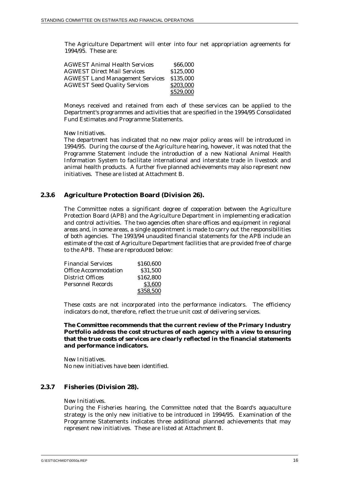The Agriculture Department will enter into four net appropriation agreements for 1994/95. These are:

| <b>AGWEST Animal Health Services</b>   | \$66,000  |
|----------------------------------------|-----------|
| <b>AGWEST Direct Mail Services</b>     | \$125,000 |
| <b>AGWEST Land Management Services</b> | \$135,000 |
| <b>AGWEST Seed Quality Services</b>    | \$203,000 |
|                                        | \$529,000 |

Moneys received and retained from each of these services can be applied to the Department's programmes and activities that are specified in the 1994/95 Consolidated Fund Estimates and Programme Statements.

*New Initiatives.*

The department has indicated that no new major policy areas will be introduced in 1994/95. During the course of the Agriculture hearing, however, it was noted that the Programme Statement include the introduction of a new National Animal Health Information System to facilitate international and interstate trade in livestock and animal health products. A further five planned achievements may also represent new initiatives. These are listed at Attachment B.

#### **2.3.6 Agriculture Protection Board (Division 26).**

The Committee notes a significant degree of cooperation between the Agriculture Protection Board (APB) and the Agriculture Department in implementing eradication and control activities. The two agencies often share offices and equipment in regional areas and, in some areas, a single appointment is made to carry out the responsibilities of both agencies. The 1993/94 unaudited financial statements for the APB include an estimate of the cost of Agriculture Department facilities that are provided free of charge to the APB. These are reproduced below:

| <b>Financial Services</b> | \$160,600 |
|---------------------------|-----------|
| Office Accommodation      | \$31,500  |
| District Offices          | \$162,800 |
| Personnel Records         | \$3.600   |
|                           | \$358,500 |

These costs are not incorporated into the performance indicators. The efficiency indicators do not, therefore, reflect the true unit cost of delivering services.

#### **The Committee recommends that the current review of the Primary Industry Portfolio address the cost structures of each agency with a view to ensuring that the true costs of services are clearly reflected in the financial statements and performance indicators.**

*New Initiatives.* No new initiatives have been identified.

#### **2.3.7 Fisheries (Division 28).**

#### *New Initiatives.*

During the Fisheries hearing, the Committee noted that the Board's aquaculture strategy is the only new initiative to be introduced in 1994/95. Examination of the Programme Statements indicates three additional planned achievements that may represent new initiatives. These are listed at Attachment B.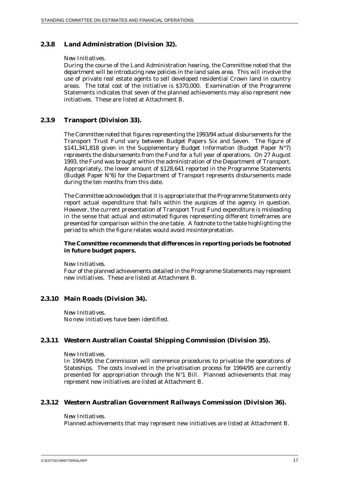### **2.3.8 Land Administration (Division 32).**

#### *New Initiatives.*

During the course of the Land Administration hearing, the Committee noted that the department will be introducing new policies in the land sales area. This will involve the use of private real estate agents to sell developed residential Crown land in country areas. The total cost of the initiative is \$370,000. Examination of the Programme Statements indicates that seven of the planned achievements may also represent new initiatives. These are listed at Attachment B.

#### **2.3.9 Transport (Division 33).**

The Committee noted that figures representing the 1993/94 actual disbursements for the Transport Trust Fund vary between Budget Papers Six and Seven. The figure of \$141,341,818 given in the Supplementary Budget Information (Budget Paper  $N^{\circ}$ 7) represents the disbursements from the Fund for a full year of operations. On 27 August 1993, the Fund was brought within the administration of the Department of Transport. Appropriately, the lower amount of \$128,641 reported in the Programme Statements (Budget Paper  $N<sup>o</sup>6$ ) for the Department of Transport represents disbursements made during the ten months from this date.

The Committee acknowledges that it is appropriate that the Programme Statements only report actual expenditure that falls within the auspices of the agency in question. However, the current presentation of Transport Trust Fund expenditure is misleading in the sense that actual and estimated figures representing different timeframes are presented for comparison within the one table. A footnote to the table highlighting the period to which the figure relates would avoid misinterpretation.

#### **The Committee recommends that differences in reporting periods be footnoted in future budget papers.**

*New Initiatives.*

Four of the planned achievements detailed in the Programme Statements may represent new initiatives. These are listed at Attachment B.

#### **2.3.10 Main Roads (Division 34).**

*New Initiatives.* No new initiatives have been identified.

#### **2.3.11 Western Australian Coastal Shipping Commission (Division 35).**

#### *New Initiatives.*

In 1994/95 the Commission will commence procedures to privatise the operations of Stateships. The costs involved in the privatisation process for 1994/95 are currently presented for appropriation through the  $N<sup>o</sup>1$  Bill. Planned achievements that may represent new initiatives are listed at Attachment B.

#### **2.3.12 Western Australian Government Railways Commission (Division 36).**

#### *New Initiatives.*

Planned achievements that may represent new initiatives are listed at Attachment B.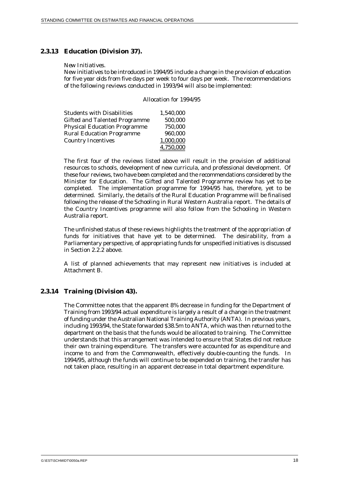#### **2.3.13 Education (Division 37).**

#### *New Initiatives.*

New initiatives to be introduced in 1994/95 include a change in the provision of education for five year olds from five days per week to four days per week. The recommendations of the following reviews conducted in 1993/94 will also be implemented:

Allocation for 1994/95

| <b>Students with Disabilities</b>    | 1,540,000 |
|--------------------------------------|-----------|
| <b>Gifted and Talented Programme</b> | 500,000   |
| <b>Physical Education Programme</b>  | 750,000   |
| <b>Rural Education Programme</b>     | 960,000   |
| <b>Country Incentives</b>            | 1,000,000 |
|                                      | 4,750,000 |

The first four of the reviews listed above will result in the provision of additional resources to schools, development of new curricula, and professional development. Of these four reviews, two have been completed and the recommendations considered by the Minister for Education. The Gifted and Talented Programme review has yet to be completed. The implementation programme for 1994/95 has, therefore, yet to be determined. Similarly, the details of the Rural Education Programme will be finalised following the release of the Schooling in Rural Western Australia report. The details of the Country Incentives programme will also follow from the Schooling in Western Australia report.

The unfinished status of these reviews highlights the treatment of the appropriation of funds for initiatives that have yet to be determined. The desirability, from a Parliamentary perspective, of appropriating funds for unspecified initiatives is discussed in Section 2.2.2 above.

A list of planned achievements that may represent new initiatives is included at Attachment B.

#### **2.3.14 Training (Division 43).**

The Committee notes that the apparent 8% decrease in funding for the Department of Training from 1993/94 actual expenditure is largely a result of a change in the treatment of funding under the Australian National Training Authority (ANTA). In previous years, including 1993/94, the State forwarded \$38.5m to ANTA, which was then returned to the department on the basis that the funds would be allocated to training. The Committee understands that this arrangement was intended to ensure that States did not reduce their own training expenditure. The transfers were accounted for as expenditure and income to and from the Commonwealth, effectively double-counting the funds. In 1994/95, although the funds will continue to be expended on training, the transfer has not taken place, resulting in an apparent decrease in total department expenditure.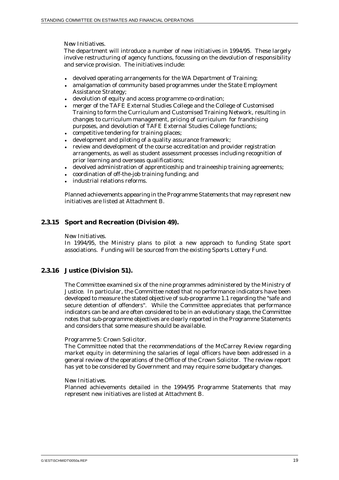*New Initiatives.*

The department will introduce a number of new initiatives in 1994/95. These largely involve restructuring of agency functions, focussing on the devolution of responsibility and service provision. The initiatives include:

- devolved operating arrangements for the WA Department of Training;
- amalgamation of community based programmes under the State Employment Assistance Strategy;
- devolution of equity and access programme co-ordination;
- $\ddot{\phantom{0}}$  merger of the TAFE External Studies College and the College of Customised Training to form the Curriculum and Customised Training Network, resulting in changes to curriculum management, pricing of curriculum for franchising purposes, and devolution of TAFE External Studies College functions;
- competitive tendering for training places;
- development and piloting of a quality assurance framework;
- review and development of the course accreditation and provider registration arrangements, as well as student assessment processes including recognition of prior learning and overseas qualifications;
- devolved administration of apprenticeship and traineeship training agreements;
- coordination of off-the-job training funding; and
- $\ddot{\phantom{0}}$ industrial relations reforms.

Planned achievements appearing in the Programme Statements that may represent new initiatives are listed at Attachment B.

## **2.3.15 Sport and Recreation (Division 49).**

#### *New Initiatives.*

In 1994/95, the Ministry plans to pilot a new approach to funding State sport associations. Funding will be sourced from the existing Sports Lottery Fund.

#### **2.3.16 Justice (Division 51).**

The Committee examined six of the nine programmes administered by the Ministry of Justice. In particular, the Committee noted that no performance indicators have been developed to measure the stated objective of sub-programme 1.1 regarding the "safe and secure detention of offenders". While the Committee appreciates that performance indicators can be and are often considered to be in an evolutionary stage, the Committee notes that sub-programme objectives are clearly reported in the Programme Statements and considers that some measure should be available.

#### *Programme 5: Crown Solicitor.*

The Committee noted that the recommendations of the McCarrey Review regarding market equity in determining the salaries of legal officers have been addressed in a general review of the operations of the Office of the Crown Solicitor. The review report has yet to be considered by Government and may require some budgetary changes.

#### *New Initiatives.*

Planned achievements detailed in the 1994/95 Programme Statements that may represent new initiatives are listed at Attachment B.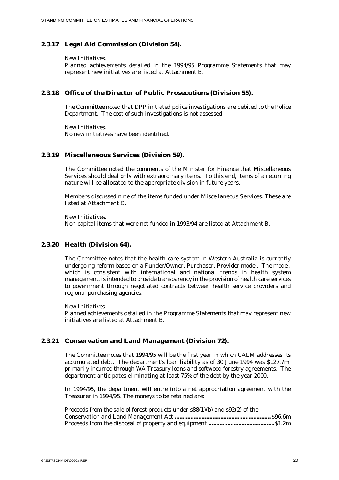### **2.3.17 Legal Aid Commission (Division 54).**

#### *New Initiatives.*

Planned achievements detailed in the 1994/95 Programme Statements that may represent new initiatives are listed at Attachment B.

## **2.3.18 Office of the Director of Public Prosecutions (Division 55).**

The Committee noted that DPP initiated police investigations are debited to the Police Department. The cost of such investigations is not assessed.

*New Initiatives.* No new initiatives have been identified.

#### **2.3.19 Miscellaneous Services (Division 59).**

The Committee noted the comments of the Minister for Finance that Miscellaneous Services should deal only with extraordinary items. To this end, items of a recurring nature will be allocated to the appropriate division in future years.

Members discussed nine of the items funded under Miscellaneous Services. These are listed at Attachment C.

*New Initiatives.* Non-capital items that were not funded in 1993/94 are listed at Attachment B.

#### **2.3.20 Health (Division 64).**

The Committee notes that the health care system in Western Australia is currently undergoing reform based on a Funder/Owner, Purchaser, Provider model. The model, which is consistent with international and national trends in health system management, is intended to provide transparency in the provision of health care services to government through negotiated contracts between health service providers and regional purchasing agencies.

#### *New Initiatives.*

Planned achievements detailed in the Programme Statements that may represent new initiatives are listed at Attachment B.

#### **2.3.21 Conservation and Land Management (Division 72).**

The Committee notes that 1994/95 will be the first year in which CALM addresses its accumulated debt. The department's loan liability as of 30 June 1994 was \$127.7m, primarily incurred through WA Treasury loans and softwood forestry agreements. The department anticipates eliminating at least 75% of the debt by the year 2000.

In 1994/95, the department will entre into a net appropriation agreement with the Treasurer in 1994/95. The moneys to be retained are:

| Proceeds from the sale of forest products under $s88(1)(b)$ and $s92(2)$ of the |  |
|---------------------------------------------------------------------------------|--|
|                                                                                 |  |
|                                                                                 |  |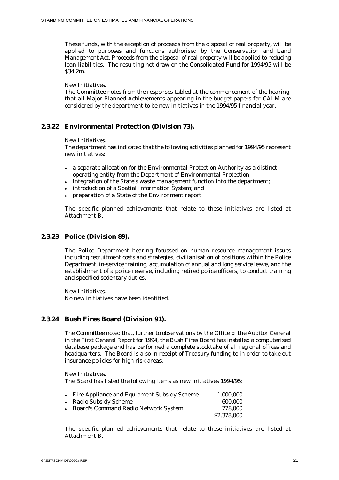These funds, with the exception of proceeds from the disposal of real property, will be applied to purposes and functions authorised by the Conservation and Land Management Act. Proceeds from the disposal of real property will be applied to reducing loan liabilities. The resulting net draw on the Consolidated Fund for 1994/95 will be \$34.2m.

#### *New Initiatives.*

The Committee notes from the responses tabled at the commencement of the hearing, that all Major Planned Achievements appearing in the budget papers for CALM are considered by the department to be new initiatives in the 1994/95 financial year.

## **2.3.22 Environmental Protection (Division 73).**

#### *New Initiatives.*

The department has indicated that the following activities planned for 1994/95 represent new initiatives:

- a separate allocation for the Environmental Protection Authority as a distinct operating entity from the Department of Environmental Protection;
- integration of the State's waste management function into the department;
- introduction of a Spatial Information System; and
- $\ddot{\phantom{0}}$ preparation of a State of the Environment report.

The specific planned achievements that relate to these initiatives are listed at Attachment B.

#### **2.3.23 Police (Division 89).**

The Police Department hearing focussed on human resource management issues including recruitment costs and strategies, civilianisation of positions within the Police Department, in-service training, accumulation of annual and long service leave, and the establishment of a police reserve, including retired police officers, to conduct training and specified sedentary duties.

*New Initiatives.* No new initiatives have been identified.

#### **2.3.24 Bush Fires Board (Division 91).**

The Committee noted that, further to observations by the Office of the Auditor General in the First General Report for 1994, the Bush Fires Board has installed a computerised database package and has performed a complete stocktake of all regional offices and headquarters. The Board is also in receipt of Treasury funding to in order to take out insurance policies for high risk areas.

*New Initiatives.*

The Board has listed the following items as new initiatives 1994/95:

| • Fire Appliance and Equipment Subsidy Scheme | 1.000.000   |
|-----------------------------------------------|-------------|
| • Radio Subsidy Scheme                        | 600.000     |
| • Board's Command Radio Network System        | 778.000     |
|                                               | \$2,378,000 |

The specific planned achievements that relate to these initiatives are listed at Attachment B.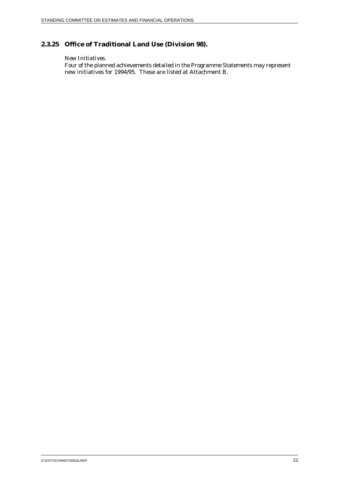## **2.3.25 Office of Traditional Land Use (Division 98).**

#### *New Initiatives.*

Four of the planned achievements detailed in the Programme Statements may represent new initiatives for 1994/95. These are listed at Attachment B.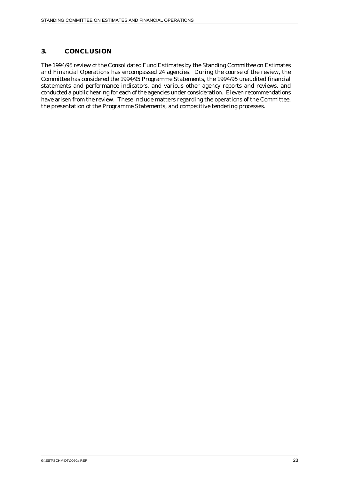## **3. CONCLUSION**

The 1994/95 review of the Consolidated Fund Estimates by the Standing Committee on Estimates and Financial Operations has encompassed 24 agencies. During the course of the review, the Committee has considered the 1994/95 Programme Statements, the 1994/95 unaudited financial statements and performance indicators, and various other agency reports and reviews, and conducted a public hearing for each of the agencies under consideration. Eleven recommendations have arisen from the review. These include matters regarding the operations of the Committee, the presentation of the Programme Statements, and competitive tendering processes.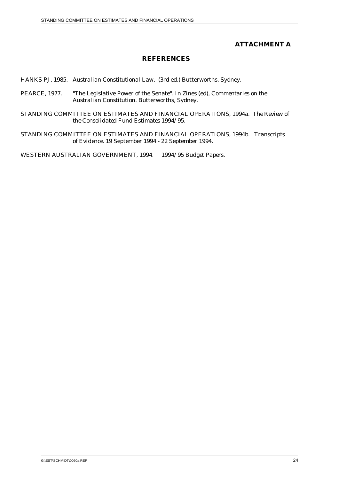## **ATTACHMENT A**

## **REFERENCES**

HANKS PJ, 1985. *Australian Constitutional Law*. (3rd ed.) Butterworths, Sydney.

PEARCE, 1977. "The Legislative Power of the Senate". In Zines (ed), *Commentaries on the Australian Constitution.* Butterworths, Sydney.

STANDING COMMITTEE ON ESTIMATES AND FINANCIAL OPERATIONS, 1994a. *The Review of the Consolidated Fund Estimates 1994/95.*

STANDING COMMITTEE ON ESTIMATES AND FINANCIAL OPERATIONS, 1994b. *Transcripts of Evidence.* 19 September 1994 - 22 September 1994.

WESTERN AUSTRALIAN GOVERNMENT, 1994. *1994/95 Budget Papers.*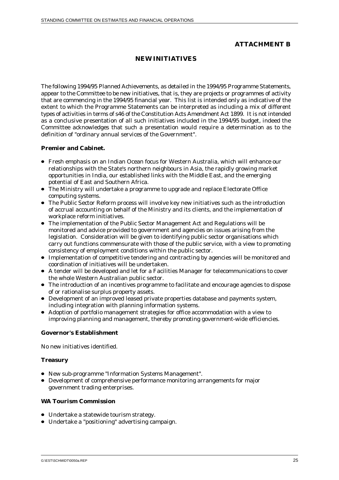## **ATTACHMENT B**

## **NEW INITIATIVES**

The following 1994/95 Planned Achievements, as detailed in the 1994/95 Programme Statements, appear to the Committee to be new initiatives, that is, they are projects or programmes of activity that are commencing in the 1994/95 financial year. This list is intended only as indicative of the extent to which the Programme Statements can be interpreted as including a mix of different types of activities in terms of s46 of the Constitution Acts Amendment Act 1899. It is not intended as a conclusive presentation of all such initiatives included in the 1994/95 budget, indeed the Committee acknowledges that such a presentation would require a determination as to the definition of "ordinary annual services of the Government".

#### **Premier and Cabinet.**

- Fresh emphasis on an Indian Ocean focus for Western Australia, which will enhance our relationships with the State's northern neighbours in Asia, the rapidly growing market opportunities in India, our established links with the Middle East, and the emerging potential of East and Southern Africa.
- The Ministry will undertake a programme to upgrade and replace Electorate Office computing systems.
- The Public Sector Reform process will involve key new initiatives such as the introduction of accrual accounting on behalf of the Ministry and its clients, and the implementation of workplace reform initiatives.
- The implementation of the Public Sector Management Act and Regulations will be monitored and advice provided to government and agencies on issues arising from the legislation. Consideration will be given to identifying public sector organisations which carry out functions commensurate with those of the public service, with a view to promoting consistency of employment conditions within the public sector.
- Implementation of competitive tendering and contracting by agencies will be monitored and coordination of initiatives will be undertaken.
- A tender will be developed and let for a Facilities Manager for telecommunications to cover the whole Western Australian public sector.
- The introduction of an incentives programme to facilitate and encourage agencies to dispose of or rationalise surplus property assets.
- Development of an improved leased private properties database and payments system, including integration with planning information systems.
- Adoption of portfolio management strategies for office accommodation with a view to improving planning and management, thereby promoting government-wide efficiencies.

#### **Governor's Establishment**

No new initiatives identified.

#### **Treasury**

- New sub-programme "Information Systems Management".
- Development of comprehensive performance monitoring arrangements for major government trading enterprises.

#### **WA Tourism Commission**

- Undertake a statewide tourism strategy.
- Undertake a "positioning" advertising campaign.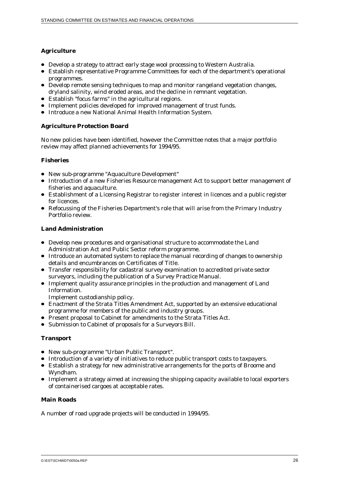## **Agriculture**

- Develop a strategy to attract early stage wool processing to Western Australia.
- Establish representative Programme Committees for each of the department's operational programmes.
- Develop remote sensing techniques to map and monitor rangeland vegetation changes, dryland salinity, wind eroded areas, and the decline in remnant vegetation.
- Establish "focus farms" in the agricultural regions.
- Implement policies developed for improved management of trust funds.
- Introduce a new National Animal Health Information System.

## **Agriculture Protection Board**

No new policies have been identified, however the Committee notes that a major portfolio review may affect planned achievements for 1994/95.

## **Fisheries**

- New sub-programme "Aquaculture Development"
- Introduction of a new Fisheries Resource management Act to support better management of fisheries and aquaculture.
- Establishment of a Licensing Registrar to register interest in licences and a public register for licences.
- Refocussing of the Fisheries Department's role that will arise from the Primary Industry Portfolio review.

#### **Land Administration**

- Develop new procedures and organisational structure to accommodate the Land Administration Act and Public Sector reform programme.
- Introduce an automated system to replace the manual recording of changes to ownership details and encumbrances on Certificates of Title.
- Transfer responsibility for cadastral survey examination to accredited private sector surveyors, including the publication of a Survey Practice Manual.
- Implement quality assurance principles in the production and management of Land Information.

Implement custodianship policy.

- Enactment of the Strata Titles Amendment Act, supported by an extensive educational programme for members of the public and industry groups.
- Present proposal to Cabinet for amendments to the Strata Titles Act.
- Submission to Cabinet of proposals for a Surveyors Bill.

#### **Transport**

- New sub-programme "Urban Public Transport".
- Introduction of a variety of initiatives to reduce public transport costs to taxpayers.
- Establish a strategy for new administrative arrangements for the ports of Broome and Wyndham.
- Implement a strategy aimed at increasing the shipping capacity available to local exporters of containerised cargoes at acceptable rates.

#### **Main Roads**

A number of road upgrade projects will be conducted in 1994/95.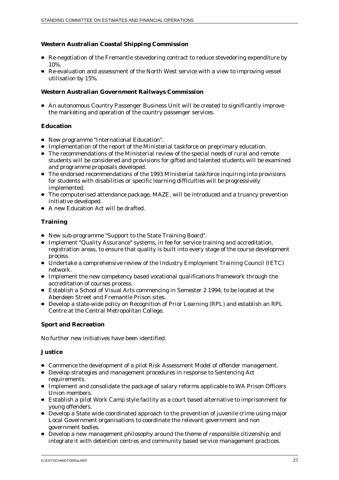## **Western Australian Coastal Shipping Commission**

- Re-negotiation of the Fremantle stevedoring contract to reduce stevedoring expenditure by 10%.
- Re-evaluation and assessment of the North West service with a view to improving vessel utilisation by 15%.

#### **Western Australian Government Railways Commission**

 An autonomous Country Passenger Business Unit will be created to significantly improve the marketing and operation of the country passenger services.

#### **Education**

- New programme "International Education".
- Implementation of the report of the Ministerial taskforce on preprimary education.
- The recommendations of the Ministerial review of the special needs of rural and remote students will be considered and provisions for gifted and talented students will be examined and programme proposals developed.
- The endorsed recommendations of the 1993 Ministerial taskforce inquiring into provisions for students with disabilities or specific learning difficulties will be progressively implemented.
- The computerised attendance package, MAZE, will be introduced and a truancy prevention initiative developed.
- A new Education Act will be drafted.

#### **Training**

- New sub-programme "Support to the State Training Board".
- Implement "Quality Assurance" systems, in fee for service training and accreditation, registration areas, to ensure that quality is built into every stage of the course development process.
- Undertake a comprehensive review of the Industry Employment Training Council (IETC) network.
- **Implement the new competency based vocational qualifications framework through the** accreditation of courses process.
- Establish a School of Visual Arts commencing in Semester 2 1994, to be located at the Aberdeen Street and Fremantle Prison sites.
- Develop a state-wide policy on Recognition of Prior Learning (RPL) and establish an RPL Centre at the Central Metropolitan College.

#### **Sport and Recreation**

No further new initiatives have been identified.

#### **Justice**

- Commence the development of a pilot Risk Assessment Model of offender management.
- Develop strategies and management procedures in response to Sentencing Act requirements.
- Implement and consolidate the package of salary reforms applicable to WA Prison Officers Union members.
- Establish a pilot Work Camp style facility as a court based alternative to imprisonment for young offenders.
- Develop a State wide coordinated approach to the prevention of juvenile crime using major Local Government organisations to coordinate the relevant government and non government bodies.
- Develop a new management philosophy around the theme of responsible citizenship and integrate it with detention centres and community based service management practices.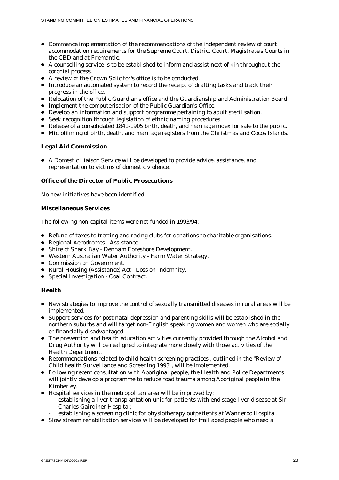- Commence implementation of the recommendations of the independent review of court accommodation requirements for the Supreme Court, District Court, Magistrate's Courts in the CBD and at Fremantle.
- A counselling service is to be established to inform and assist next of kin throughout the coronial process.
- A review of the Crown Solicitor's office is to be conducted.
- Introduce an automated system to record the receipt of drafting tasks and track their progress in the office.
- Relocation of the Public Guardian's office and the Guardianship and Administration Board.
- Implement the computerisation of the Public Guardian's Office.
- Develop an information and support programme pertaining to adult sterilisation.
- Seek recognition through legislation of ethnic naming procedures.
- Release of a consolidated 1841-1905 birth, death, and marriage index for sale to the public.
- Microfilming of birth, death, and marriage registers from the Christmas and Cocos Islands.

## **Legal Aid Commission**

 A Domestic Liaison Service will be developed to provide advice, assistance, and representation to victims of domestic violence.

## **Office of the Director of Public Prosecutions**

No new initiatives have been identified.

#### **Miscellaneous Services**

The following non-capital items were not funded in 1993/94:

- Refund of taxes to trotting and racing clubs for donations to charitable organisations.
- Regional Aerodromes Assistance.
- Shire of Shark Bay Denham Foreshore Development.
- Western Australian Water Authority Farm Water Strategy.
- Commission on Government.
- Rural Housing (Assistance) Act Loss on Indemnity.
- Special Investigation Coal Contract.

#### **Health**

- New strategies to improve the control of sexually transmitted diseases in rural areas will be implemented.
- Support services for post natal depression and parenting skills will be established in the northern suburbs and will target non-English speaking women and women who are socially or financially disadvantaged.
- The prevention and health education activities currently provided through the Alcohol and Drug Authority will be realigned to integrate more closely with those activities of the Health Department.
- Recommendations related to child health screening practices , outlined in the "Review of Child health Surveillance and Screening 1993", will be implemented.
- Following recent consultation with Aboriginal people, the Health and Police Departments will jointly develop a programme to reduce road trauma among Aboriginal people in the Kimberley.
- Hospital services in the metropolitan area will be improved by:
	- establishing a liver transplantation unit for patients with end stage liver disease at Sir Charles Gairdiner Hospital;
	- establishing a screening clinic for physiotherapy outpatients at Wanneroo Hospital.
- Slow stream rehabilitation services will be developed for frail aged people who need a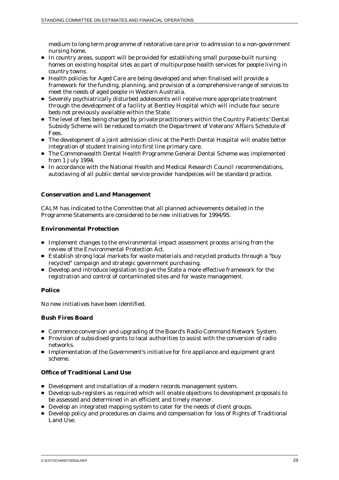medium to long term programme of restorative care prior to admission to a non-government nursing home.

- In country areas, support will be provided for establishing small purpose-built nursing homes on existing hospital sites as part of multipurpose health services for people living in country towns.
- Health policies for Aged Care are being developed and when finalised will provide a framework for the funding, planning, and provision of a comprehensive range of services to meet the needs of aged people in Western Australia.
- Severely psychiatrically disturbed adolescents will receive more appropriate treatment through the development of a facility at Bentley Hospital which will include four secure beds not previously available within the State.
- The level of fees being charged by private practitioners within the Country Patients' Dental Subsidy Scheme will be reduced to match the Department of Veterans' Affairs Schedule of Fees.
- The development of a joint admission clinic at the Perth Dental Hospital will enable better integration of student training into first line primary care.
- The Commonwealth Dental Health Programme General Dental Scheme was implemented from 1 July 1994.
- In accordance with the National Health and Medical Research Council recommendations, autoclaving of all public dental service provider handpeices will be standard practice.

## **Conservation and Land Management**

CALM has indicated to the Committee that all planned achievements detailed in the Programme Statements are considered to be new initiatives for 1994/95.

#### **Environmental Protection**

- Implement changes to the environmental impact assessment process arising from the review of the Environmental Protection Act.
- Establish strong local markets for waste materials and recycled products through a "buy recycled" campaign and strategic government purchasing.
- Develop and introduce legislation to give the State a more effective framework for the registration and control of contaminated sites and for waste management.

## **Police**

No new initiatives have been identified.

#### **Bush Fires Board**

- Commence conversion and upgrading of the Board's Radio Command Network System.
- Provision of subsidised grants to local authorities to assist with the conversion of radio networks.
- Implementation of the Government's initiative for fire appliance and equipment grant scheme.

#### **Office of Traditional Land Use**

- Development and installation of a modern records management system.
- Develop sub-registers as required which will enable objections to development proposals to be assessed and determined in an efficient and timely manner.
- Develop an integrated mapping system to cater for the needs of client groups.
- Develop policy and procedures on claims and compensation for loss of Rights of Traditional Land Use.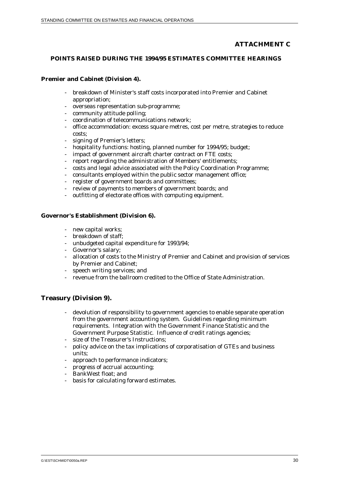## **ATTACHMENT C**

#### **POINTS RAISED DURING THE 1994/95 ESTIMATES COMMITTEE HEARINGS**

#### **Premier and Cabinet (Division 4).**

- breakdown of Minister's staff costs incorporated into Premier and Cabinet appropriation;
- overseas representation sub-programme;
- community attitude polling;
- coordination of telecommunications network;
- office accommodation: excess square metres, cost per metre, strategies to reduce costs;
- signing of Premier's letters;
- hospitality functions: hosting, planned number for 1994/95; budget;
- impact of government aircraft charter contract on FTE costs;
- report regarding the administration of Members' entitlements;
- costs and legal advice associated with the Policy Coordination Programme;
- consultants employed within the public sector management office;
- register of government boards and committees;
- review of payments to members of government boards; and
- outfitting of electorate offices with computing equipment.

#### **Governor's Establishment (Division 6).**

- new capital works;
- breakdown of staff;
- unbudgeted capital expenditure for 1993/94;
- Governor's salary;
- allocation of costs to the Ministry of Premier and Cabinet and provision of services by Premier and Cabinet;
- speech writing services; and
- revenue from the ballroom credited to the Office of State Administration.

## **Treasury (Division 9).**

- devolution of responsibility to government agencies to enable separate operation from the government accounting system. Guidelines regarding minimum requirements. Integration with the Government Finance Statistic and the Government Purpose Statistic. Influence of credit ratings agencies;
- size of the Treasurer's Instructions:
- policy advice on the tax implications of corporatisation of GTEs and business units;
- approach to performance indicators;
- progress of accrual accounting;
- BankWest float; and
- basis for calculating forward estimates.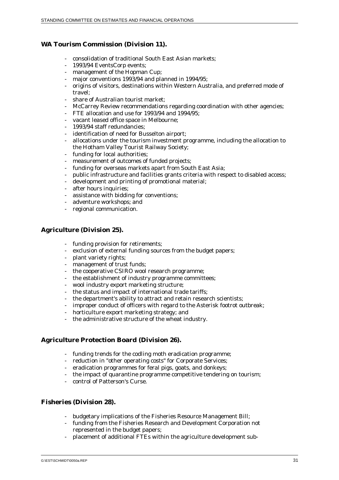## **WA Tourism Commission (Division 11).**

- consolidation of traditional South East Asian markets;
- 1993/94 EventsCorp events;
- management of the Hopman Cup;
- major conventions 1993/94 and planned in 1994/95;
- origins of visitors, destinations within Western Australia, and preferred mode of travel;
- share of Australian tourist market;
- McCarrey Review recommendations regarding coordination with other agencies;
- FTE allocation and use for 1993/94 and 1994/95;
- vacant leased office space in Melbourne;
- 1993/94 staff redundancies;
- identification of need for Busselton airport;
- allocations under the tourism investment programme, including the allocation to the Hotham Valley Tourist Railway Society;
- funding for local authorities;
- measurement of outcomes of funded projects;
- funding for overseas markets apart from South East Asia:
- public infrastructure and facilities grants criteria with respect to disabled access;
- development and printing of promotional material;
- after hours inquiries;
- assistance with bidding for conventions;
- adventure workshops; and
- regional communication.

## **Agriculture (Division 25).**

- funding provision for retirements;
- exclusion of external funding sources from the budget papers;
- plant variety rights;
- management of trust funds;
- the cooperative CSIRO wool research programme;
- the establishment of industry programme committees;
- wool industry export marketing structure;
- the status and impact of international trade tariffs;
- the department's ability to attract and retain research scientists;
- improper conduct of officers with regard to the Asterisk footrot outbreak;
- horticulture export marketing strategy; and
- the administrative structure of the wheat industry.

## **Agriculture Protection Board (Division 26).**

- funding trends for the codling moth eradication programme;
- reduction in "other operating costs" for Corporate Services;
- eradication programmes for feral pigs, goats, and donkeys;
- the impact of quarantine programme competitive tendering on tourism;
- control of Patterson's Curse.

## **Fisheries (Division 28).**

- budgetary implications of the Fisheries Resource Management Bill;
- funding from the Fisheries Research and Development Corporation not represented in the budget papers;
- placement of additional FTEs within the agriculture development sub-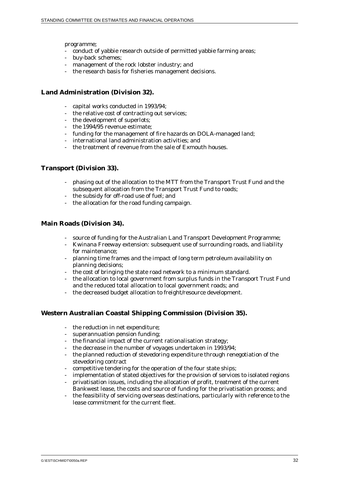programme;

- conduct of yabbie research outside of permitted yabbie farming areas;
- buy-back schemes;
- management of the rock lobster industry; and
- the research basis for fisheries management decisions.

#### **Land Administration (Division 32).**

- capital works conducted in 1993/94;
- the relative cost of contracting out services;
- the development of superlots;
- the 1994/95 revenue estimate;
- funding for the management of fire hazards on DOLA-managed land;
- international land administration activities; and
- the treatment of revenue from the sale of Exmouth houses.

#### **Transport (Division 33).**

- phasing out of the allocation to the MTT from the Transport Trust Fund and the subsequent allocation from the Transport Trust Fund to roads;
- the subsidy for off-road use of fuel; and
- the allocation for the road funding campaign.

#### **Main Roads (Division 34).**

- source of funding for the Australian Land Transport Development Programme;
- Kwinana Freeway extension: subsequent use of surrounding roads, and liability for maintenance;
- planning time frames and the impact of long term petroleum availability on planning decisions;
- the cost of bringing the state road network to a minimum standard.
- the allocation to local government from surplus funds in the Transport Trust Fund and the reduced total allocation to local government roads; and
- the decreased budget allocation to freight/resource development.

## **Western Australian Coastal Shipping Commission (Division 35).**

- the reduction in net expenditure;
- superannuation pension funding;
- the financial impact of the current rationalisation strategy;
- the decrease in the number of voyages undertaken in 1993/94;
- the planned reduction of stevedoring expenditure through renegotiation of the stevedoring contract
- competitive tendering for the operation of the four state ships;
- implementation of stated objectives for the provision of services to isolated regions
- privatisation issues, including the allocation of profit, treatment of the current Bankwest lease, the costs and source of funding for the privatisation process; and
- the feasibility of servicing overseas destinations, particularly with reference to the lease commitment for the current fleet.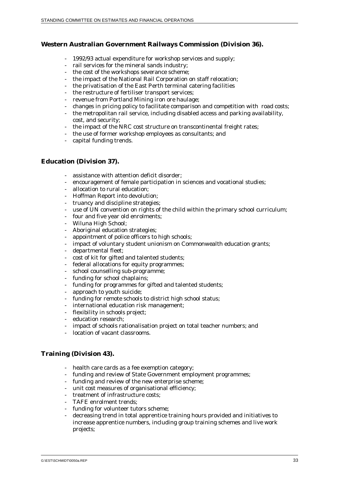## **Western Australian Government Railways Commission (Division 36).**

- 1992/93 actual expenditure for workshop services and supply;
- rail services for the mineral sands industry;
- the cost of the workshops severance scheme;
- the impact of the National Rail Corporation on staff relocation;
- the privatisation of the East Perth terminal catering facilities
- the restructure of fertiliser transport services:
- revenue from Portland Mining iron ore haulage;
- changes in pricing policy to facilitate comparison and competition with road costs;
- the metropolitan rail service, including disabled access and parking availability, cost, and security;
- the impact of the NRC cost structure on transcontinental freight rates;
- the use of former workshop employees as consultants; and
- capital funding trends.

## **Education (Division 37).**

- assistance with attention deficit disorder;
- encouragement of female participation in sciences and vocational studies;
- allocation to rural education;
- Hoffman Report into devolution;
- truancy and discipline strategies;
- use of UN convention on rights of the child within the primary school curriculum;
- four and five year old enrolments;
- Wiluna High School;
- Aboriginal education strategies;
- appointment of police officers to high schools;
- impact of voluntary student unionism on Commonwealth education grants;
- departmental fleet;
- cost of kit for gifted and talented students;
- federal allocations for equity programmes;
- school counselling sub-programme;
- funding for school chaplains;
- funding for programmes for gifted and talented students;
- approach to youth suicide;
- funding for remote schools to district high school status;
- international education risk management;
- flexibility in schools project:
- education research;
- impact of schools rationalisation project on total teacher numbers; and
- location of vacant classrooms.

## **Training (Division 43).**

- health care cards as a fee exemption category;
- funding and review of State Government employment programmes;
- funding and review of the new enterprise scheme;
- unit cost measures of organisational efficiency;
- treatment of infrastructure costs;
- TAFE enrolment trends:
- funding for volunteer tutors scheme;
- decreasing trend in total apprentice training hours provided and initiatives to increase apprentice numbers, including group training schemes and live work projects;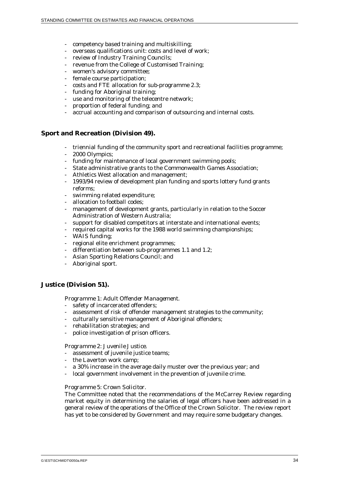- competency based training and multiskilling;
- overseas qualifications unit: costs and level of work;
- review of Industry Training Councils;
- revenue from the College of Customised Training;
- women's advisory committee;
- female course participation;
- costs and FTE allocation for sub-programme 2.3;
- funding for Aboriginal training;
- use and monitoring of the telecentre network;
- proportion of federal funding; and
- accrual accounting and comparison of outsourcing and internal costs.

#### **Sport and Recreation (Division 49).**

- triennial funding of the community sport and recreational facilities programme;
- 2000 Olympics;
- funding for maintenance of local government swimming pools;
- State administrative grants to the Commonwealth Games Association;
- Athletics West allocation and management;
- 1993/94 review of development plan funding and sports lottery fund grants reforms;
- swimming related expenditure;
- allocation to football codes;
- management of development grants, particularly in relation to the Soccer Administration of Western Australia;
- support for disabled competitors at interstate and international events;
- required capital works for the 1988 world swimming championships;
- WAIS funding;
- regional elite enrichment programmes;
- differentiation between sub-programmes 1.1 and 1.2;
- Asian Sporting Relations Council; and
- Aboriginal sport.

#### **Justice (Division 51).**

#### *Programme 1: Adult Offender Management.*

- safety of incarcerated offenders;
- assessment of risk of offender management strategies to the community;
- culturally sensitive management of Aboriginal offenders;
- rehabilitation strategies; and
- police investigation of prison officers.

#### *Programme 2: Juvenile Justice.*

- assessment of juvenile justice teams;
- the Laverton work camp;
- a 30% increase in the average daily muster over the previous year; and
- local government involvement in the prevention of juvenile crime.

#### *Programme 5: Crown Solicitor.*

The Committee noted that the recommendations of the McCarrey Review regarding market equity in determining the salaries of legal officers have been addressed in a general review of the operations of the Office of the Crown Solicitor. The review report has yet to be considered by Government and may require some budgetary changes.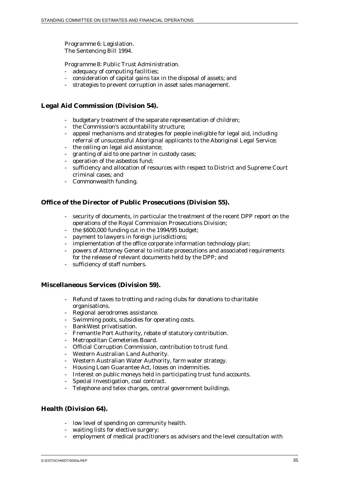*Programme 6: Legislation.* The Sentencing Bill 1994.

*Programme 8: Public Trust Administration.*

- adequacy of computing facilities;
- consideration of capital gains tax in the disposal of assets; and
- strategies to prevent corruption in asset sales management.

## **Legal Aid Commission (Division 54).**

- budgetary treatment of the separate representation of children;
- the Commission's accountability structure:
- appeal mechanisms and strategies for people ineligible for legal aid, including referral of unsuccessful Aboriginal applicants to the Aboriginal Legal Service;
- the ceiling on legal aid assistance;
- granting of aid to one partner in custody cases;
- operation of the asbestos fund;
- sufficiency and allocation of resources with respect to District and Supreme Court criminal cases; and
- Commonwealth funding.

## **Office of the Director of Public Prosecutions (Division 55).**

- security of documents, in particular the treatment of the recent DPP report on the operations of the Royal Commission Prosecutions Division;
- the \$600,000 funding cut in the 1994/95 budget;
- payment to lawyers in foreign jurisdictions;
- implementation of the office corporate information technology plan;
- powers of Attorney General to initiate prosecutions and associated requirements for the release of relevant documents held by the DPP; and
- sufficiency of staff numbers.

#### **Miscellaneous Services (Division 59).**

- Refund of taxes to trotting and racing clubs for donations to charitable organisations.
- Regional aerodromes assistance.
- Swimming pools, subsidies for operating costs.
- BankWest privatisation.
- Fremantle Port Authority, rebate of statutory contribution.
- Metropolitan Cemeteries Board.
- Official Corruption Commission, contribution to trust fund.
- Western Australian Land Authority.
- Western Australian Water Authority, farm water strategy.
- Housing Loan Guarantee Act, losses on indemnities.
- Interest on public moneys held in participating trust fund accounts.
- Special Investigation, coal contract.
- Telephone and telex charges, central government buildings.

## **Health (Division 64).**

- low level of spending on community health.
- waiting lists for elective surgery;
- employment of medical practitioners as advisers and the level consultation with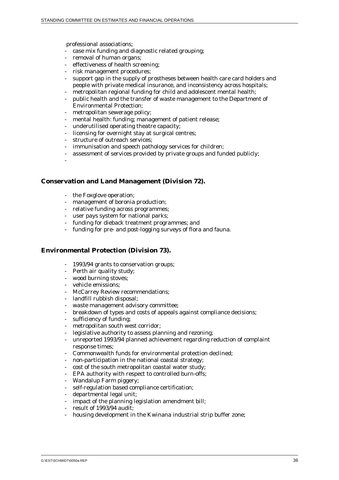professional associations;

- case mix funding and diagnostic related grouping;
- removal of human organs;
- effectiveness of health screening;
- risk management procedures;
- support gap in the supply of prostheses between health care card holders and people with private medical insurance, and inconsistency across hospitals;
- metropolitan regional funding for child and adolescent mental health;
- public health and the transfer of waste management to the Department of Environmental Protection;
- metropolitan sewerage policy;
- mental health: funding; management of patient release;
- underutilised operating theatre capacity;
- licensing for overnight stay at surgical centres;
- structure of outreach services;
- immunisation and speech pathology services for children;
- assessment of services provided by private groups and funded publicly;
- -

#### **Conservation and Land Management (Division 72).**

- the Foxglove operation;
- management of boronia production;
- relative funding across programmes;
- user pays system for national parks;
- funding for dieback treatment programmes; and
- funding for pre- and post-logging surveys of flora and fauna.

#### **Environmental Protection (Division 73).**

- 1993/94 grants to conservation groups;
- Perth air quality study;
- wood burning stoves;
- vehicle emissions;
- McCarrey Review recommendations;
- landfill rubbish disposal;
- waste management advisory committee:
- breakdown of types and costs of appeals against compliance decisions;
- sufficiency of funding;
- metropolitan south west corridor:
- legislative authority to assess planning and rezoning;
- unreported 1993/94 planned achievement regarding reduction of complaint response times;
- Commonwealth funds for environmental protection declined;
- non-participation in the national coastal strategy;
- cost of the south metropolitan coastal water study:
- EPA authority with respect to controlled burn-offs;
- Wandalup Farm piggery;
- self-regulation based compliance certification:
- departmental legal unit;
- impact of the planning legislation amendment bill;
- result of  $1993/94$  audit:
- housing development in the Kwinana industrial strip buffer zone;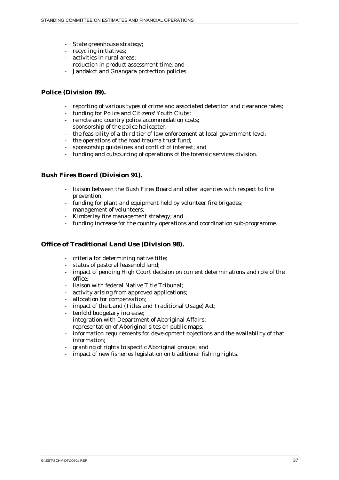- State greenhouse strategy;
- recycling initiatives;
- activities in rural areas;
- reduction in product assessment time; and
- Jandakot and Gnangara protection policies.

### **Police (Division 89).**

- reporting of various types of crime and associated detection and clearance rates;
- funding for Police and Citizens' Youth Clubs;
- remote and country police accommodation costs;
- sponsorship of the police helicopter;
- the feasibility of a third tier of law enforcement at local government level;
- the operations of the road trauma trust fund;
- sponsorship guidelines and conflict of interest; and
- funding and outsourcing of operations of the forensic services division.

## **Bush Fires Board (Division 91).**

- liaison between the Bush Fires Board and other agencies with respect to fire prevention;
- funding for plant and equipment held by volunteer fire brigades;
- management of volunteers;
- Kimberley fire management strategy; and
- funding increase for the country operations and coordination sub-programme.

## **Office of Traditional Land Use (Division 98).**

- criteria for determining native title;
- status of pastoral leasehold land;
- impact of pending High Court decision on current determinations and role of the office;
- liaison with federal Native Title Tribunal;
- activity arising from approved applications;
- allocation for compensation:
- impact of the Land (Titles and Traditional Usage) Act;
- tenfold budgetary increase;
- integration with Department of Aboriginal Affairs;
- representation of Aboriginal sites on public maps;
- information requirements for development objections and the availability of that information;
- granting of rights to specific Aboriginal groups; and
- impact of new fisheries legislation on traditional fishing rights.